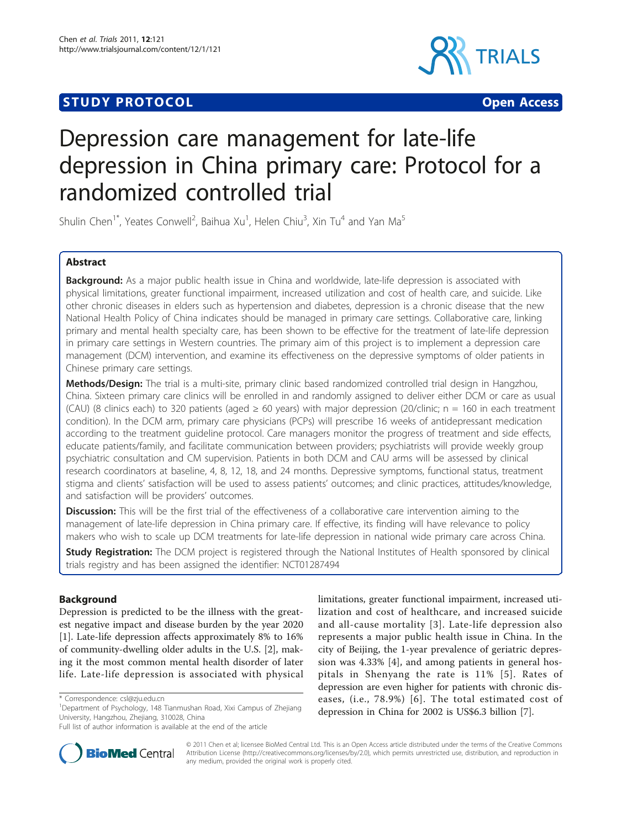## **STUDY PROTOCOL CONSUMING THE CONSUMING OPEN ACCESS**



# Depression care management for late-life depression in China primary care: Protocol for a randomized controlled trial

Shulin Chen<sup>1\*</sup>, Yeates Conwell<sup>2</sup>, Baihua Xu<sup>1</sup>, Helen Chiu<sup>3</sup>, Xin Tu<sup>4</sup> and Yan Ma<sup>5</sup>

## Abstract

Background: As a major public health issue in China and worldwide, late-life depression is associated with physical limitations, greater functional impairment, increased utilization and cost of health care, and suicide. Like other chronic diseases in elders such as hypertension and diabetes, depression is a chronic disease that the new National Health Policy of China indicates should be managed in primary care settings. Collaborative care, linking primary and mental health specialty care, has been shown to be effective for the treatment of late-life depression in primary care settings in Western countries. The primary aim of this project is to implement a depression care management (DCM) intervention, and examine its effectiveness on the depressive symptoms of older patients in Chinese primary care settings.

Methods/Design: The trial is a multi-site, primary clinic based randomized controlled trial design in Hangzhou, China. Sixteen primary care clinics will be enrolled in and randomly assigned to deliver either DCM or care as usual (CAU) (8 clinics each) to 320 patients (aged  $\geq 60$  years) with major depression (20/clinic; n = 160 in each treatment condition). In the DCM arm, primary care physicians (PCPs) will prescribe 16 weeks of antidepressant medication according to the treatment guideline protocol. Care managers monitor the progress of treatment and side effects, educate patients/family, and facilitate communication between providers; psychiatrists will provide weekly group psychiatric consultation and CM supervision. Patients in both DCM and CAU arms will be assessed by clinical research coordinators at baseline, 4, 8, 12, 18, and 24 months. Depressive symptoms, functional status, treatment stigma and clients' satisfaction will be used to assess patients' outcomes; and clinic practices, attitudes/knowledge, and satisfaction will be providers' outcomes.

Discussion: This will be the first trial of the effectiveness of a collaborative care intervention aiming to the management of late-life depression in China primary care. If effective, its finding will have relevance to policy makers who wish to scale up DCM treatments for late-life depression in national wide primary care across China.

Study Registration: The DCM project is registered through the National Institutes of Health sponsored by clinical trials registry and has been assigned the identifier: [NCT01287494](http://www.clinicaltrials.gov/ct2/show/NCT01287494)

## Background

Depression is predicted to be the illness with the greatest negative impact and disease burden by the year 2020 [[1\]](#page-11-0). Late-life depression affects approximately 8% to 16% of community-dwelling older adults in the U.S. [\[2](#page-11-0)], making it the most common mental health disorder of later life. Late-life depression is associated with physical limitations, greater functional impairment, increased utilization and cost of healthcare, and increased suicide and all-cause mortality [[3](#page-11-0)]. Late-life depression also represents a major public health issue in China. In the city of Beijing, the 1-year prevalence of geriatric depression was 4.33% [[4\]](#page-11-0), and among patients in general hospitals in Shenyang the rate is 11% [[5](#page-11-0)]. Rates of depression are even higher for patients with chronic diseases, (i.e., 78.9%) [[6\]](#page-11-0). The total estimated cost of depression in China for 2002 is US\$6.3 billion [\[7](#page-11-0)].



© 2011 Chen et al; licensee BioMed Central Ltd. This is an Open Access article distributed under the terms of the Creative Commons Attribution License [\(http://creativecommons.org/licenses/by/2.0](http://creativecommons.org/licenses/by/2.0)), which permits unrestricted use, distribution, and reproduction in any medium, provided the original work is properly cited.

<sup>\*</sup> Correspondence: [csl@zju.edu.cn](mailto:csl@zju.edu.cn)

<sup>&</sup>lt;sup>1</sup>Department of Psychology, 148 Tianmushan Road, Xixi Campus of Zhejiang University, Hangzhou, Zhejiang, 310028, China

Full list of author information is available at the end of the article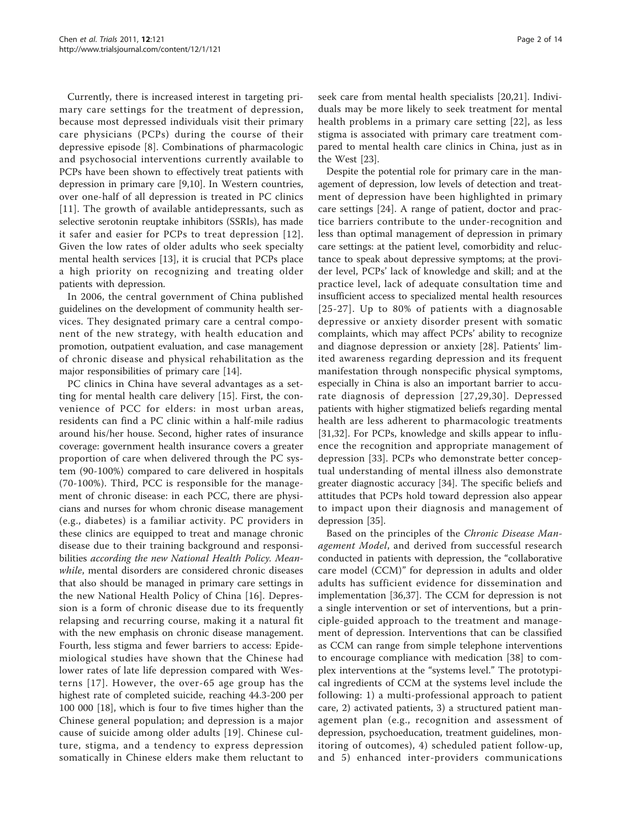Currently, there is increased interest in targeting primary care settings for the treatment of depression, because most depressed individuals visit their primary care physicians (PCPs) during the course of their depressive episode [\[8](#page-11-0)]. Combinations of pharmacologic and psychosocial interventions currently available to PCPs have been shown to effectively treat patients with depression in primary care [\[9,10](#page-11-0)]. In Western countries, over one-half of all depression is treated in PC clinics [[11](#page-11-0)]. The growth of available antidepressants, such as selective serotonin reuptake inhibitors (SSRIs), has made it safer and easier for PCPs to treat depression [[12\]](#page-11-0). Given the low rates of older adults who seek specialty mental health services [[13\]](#page-11-0), it is crucial that PCPs place a high priority on recognizing and treating older patients with depression.

In 2006, the central government of China published guidelines on the development of community health services. They designated primary care a central component of the new strategy, with health education and promotion, outpatient evaluation, and case management of chronic disease and physical rehabilitation as the major responsibilities of primary care [[14](#page-11-0)].

PC clinics in China have several advantages as a setting for mental health care delivery [[15](#page-11-0)]. First, the convenience of PCC for elders: in most urban areas, residents can find a PC clinic within a half-mile radius around his/her house. Second, higher rates of insurance coverage: government health insurance covers a greater proportion of care when delivered through the PC system (90-100%) compared to care delivered in hospitals (70-100%). Third, PCC is responsible for the management of chronic disease: in each PCC, there are physicians and nurses for whom chronic disease management (e.g., diabetes) is a familiar activity. PC providers in these clinics are equipped to treat and manage chronic disease due to their training background and responsibilities according the new National Health Policy. Meanwhile, mental disorders are considered chronic diseases that also should be managed in primary care settings in the new National Health Policy of China [[16](#page-11-0)]. Depression is a form of chronic disease due to its frequently relapsing and recurring course, making it a natural fit with the new emphasis on chronic disease management. Fourth, less stigma and fewer barriers to access: Epidemiological studies have shown that the Chinese had lower rates of late life depression compared with Westerns [[17\]](#page-11-0). However, the over-65 age group has the highest rate of completed suicide, reaching 44.3-200 per 100 000 [[18\]](#page-11-0), which is four to five times higher than the Chinese general population; and depression is a major cause of suicide among older adults [[19\]](#page-11-0). Chinese culture, stigma, and a tendency to express depression somatically in Chinese elders make them reluctant to seek care from mental health specialists [[20,21\]](#page-11-0). Individuals may be more likely to seek treatment for mental health problems in a primary care setting [[22](#page-11-0)], as less stigma is associated with primary care treatment compared to mental health care clinics in China, just as in the West [\[23](#page-11-0)].

Despite the potential role for primary care in the management of depression, low levels of detection and treatment of depression have been highlighted in primary care settings [\[24](#page-11-0)]. A range of patient, doctor and practice barriers contribute to the under-recognition and less than optimal management of depression in primary care settings: at the patient level, comorbidity and reluctance to speak about depressive symptoms; at the provider level, PCPs' lack of knowledge and skill; and at the practice level, lack of adequate consultation time and insufficient access to specialized mental health resources [[25](#page-11-0)-[27\]](#page-11-0). Up to 80% of patients with a diagnosable depressive or anxiety disorder present with somatic complaints, which may affect PCPs' ability to recognize and diagnose depression or anxiety [[28\]](#page-11-0). Patients' limited awareness regarding depression and its frequent manifestation through nonspecific physical symptoms, especially in China is also an important barrier to accurate diagnosis of depression [[27](#page-11-0),[29](#page-11-0),[30\]](#page-11-0). Depressed patients with higher stigmatized beliefs regarding mental health are less adherent to pharmacologic treatments [[31,32\]](#page-11-0). For PCPs, knowledge and skills appear to influence the recognition and appropriate management of depression [\[33](#page-11-0)]. PCPs who demonstrate better conceptual understanding of mental illness also demonstrate greater diagnostic accuracy [[34\]](#page-11-0). The specific beliefs and attitudes that PCPs hold toward depression also appear to impact upon their diagnosis and management of depression [\[35](#page-11-0)].

Based on the principles of the Chronic Disease Management Model, and derived from successful research conducted in patients with depression, the "collaborative care model (CCM)" for depression in adults and older adults has sufficient evidence for dissemination and implementation [\[36](#page-11-0),[37](#page-11-0)]. The CCM for depression is not a single intervention or set of interventions, but a principle-guided approach to the treatment and management of depression. Interventions that can be classified as CCM can range from simple telephone interventions to encourage compliance with medication [\[38\]](#page-11-0) to complex interventions at the "systems level." The prototypical ingredients of CCM at the systems level include the following: 1) a multi-professional approach to patient care, 2) activated patients, 3) a structured patient management plan (e.g., recognition and assessment of depression, psychoeducation, treatment guidelines, monitoring of outcomes), 4) scheduled patient follow-up, and 5) enhanced inter-providers communications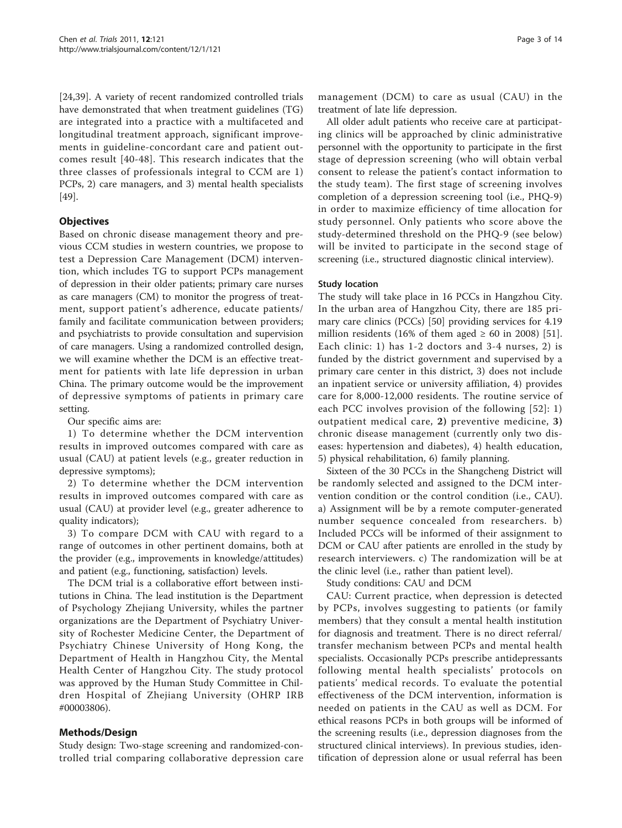[[24,](#page-11-0)[39\]](#page-12-0). A variety of recent randomized controlled trials have demonstrated that when treatment guidelines (TG) are integrated into a practice with a multifaceted and longitudinal treatment approach, significant improvements in guideline-concordant care and patient outcomes result [[40](#page-12-0)-[48](#page-12-0)]. This research indicates that the three classes of professionals integral to CCM are 1) PCPs, 2) care managers, and 3) mental health specialists [[49\]](#page-12-0).

## **Objectives**

Based on chronic disease management theory and previous CCM studies in western countries, we propose to test a Depression Care Management (DCM) intervention, which includes TG to support PCPs management of depression in their older patients; primary care nurses as care managers (CM) to monitor the progress of treatment, support patient's adherence, educate patients/ family and facilitate communication between providers; and psychiatrists to provide consultation and supervision of care managers. Using a randomized controlled design, we will examine whether the DCM is an effective treatment for patients with late life depression in urban China. The primary outcome would be the improvement of depressive symptoms of patients in primary care setting.

Our specific aims are:

1) To determine whether the DCM intervention results in improved outcomes compared with care as usual (CAU) at patient levels (e.g., greater reduction in depressive symptoms);

2) To determine whether the DCM intervention results in improved outcomes compared with care as usual (CAU) at provider level (e.g., greater adherence to quality indicators);

3) To compare DCM with CAU with regard to a range of outcomes in other pertinent domains, both at the provider (e.g., improvements in knowledge/attitudes) and patient (e.g., functioning, satisfaction) levels.

The DCM trial is a collaborative effort between institutions in China. The lead institution is the Department of Psychology Zhejiang University, whiles the partner organizations are the Department of Psychiatry University of Rochester Medicine Center, the Department of Psychiatry Chinese University of Hong Kong, the Department of Health in Hangzhou City, the Mental Health Center of Hangzhou City. The study protocol was approved by the Human Study Committee in Children Hospital of Zhejiang University (OHRP IRB #00003806).

## Methods/Design

Study design: Two-stage screening and randomized-controlled trial comparing collaborative depression care management (DCM) to care as usual (CAU) in the treatment of late life depression.

All older adult patients who receive care at participating clinics will be approached by clinic administrative personnel with the opportunity to participate in the first stage of depression screening (who will obtain verbal consent to release the patient's contact information to the study team). The first stage of screening involves completion of a depression screening tool (i.e., PHQ-9) in order to maximize efficiency of time allocation for study personnel. Only patients who score above the study-determined threshold on the PHQ-9 (see below) will be invited to participate in the second stage of screening (i.e., structured diagnostic clinical interview).

## Study location

The study will take place in 16 PCCs in Hangzhou City. In the urban area of Hangzhou City, there are 185 primary care clinics (PCCs) [\[50](#page-12-0)] providing services for 4.19 million residents (16% of them aged  $\geq 60$  in 2008) [\[51](#page-12-0)]. Each clinic: 1) has 1-2 doctors and 3-4 nurses, 2) is funded by the district government and supervised by a primary care center in this district, 3) does not include an inpatient service or university affiliation, 4) provides care for 8,000-12,000 residents. The routine service of each PCC involves provision of the following [\[52\]](#page-12-0): 1) outpatient medical care, 2) preventive medicine, 3) chronic disease management (currently only two diseases: hypertension and diabetes), 4) health education, 5) physical rehabilitation, 6) family planning.

Sixteen of the 30 PCCs in the Shangcheng District will be randomly selected and assigned to the DCM intervention condition or the control condition (i.e., CAU). a) Assignment will be by a remote computer-generated number sequence concealed from researchers. b) Included PCCs will be informed of their assignment to DCM or CAU after patients are enrolled in the study by research interviewers. c) The randomization will be at the clinic level (i.e., rather than patient level).

Study conditions: CAU and DCM

CAU: Current practice, when depression is detected by PCPs, involves suggesting to patients (or family members) that they consult a mental health institution for diagnosis and treatment. There is no direct referral/ transfer mechanism between PCPs and mental health specialists. Occasionally PCPs prescribe antidepressants following mental health specialists' protocols on patients' medical records. To evaluate the potential effectiveness of the DCM intervention, information is needed on patients in the CAU as well as DCM. For ethical reasons PCPs in both groups will be informed of the screening results (i.e., depression diagnoses from the structured clinical interviews). In previous studies, identification of depression alone or usual referral has been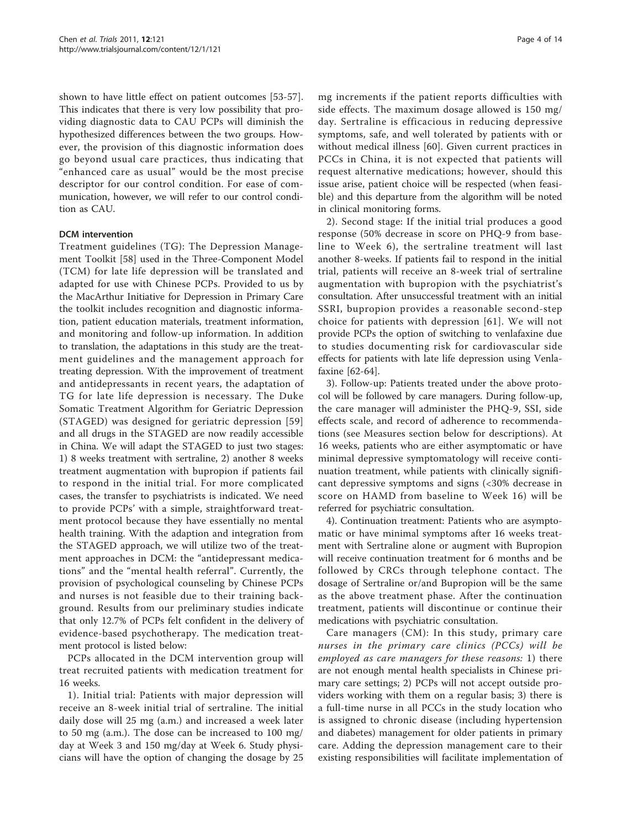shown to have little effect on patient outcomes [[53-57](#page-12-0)]. This indicates that there is very low possibility that providing diagnostic data to CAU PCPs will diminish the hypothesized differences between the two groups. However, the provision of this diagnostic information does go beyond usual care practices, thus indicating that "enhanced care as usual" would be the most precise descriptor for our control condition. For ease of communication, however, we will refer to our control condition as CAU.

## DCM intervention

Treatment guidelines (TG): The Depression Management Toolkit [[58\]](#page-12-0) used in the Three-Component Model (TCM) for late life depression will be translated and adapted for use with Chinese PCPs. Provided to us by the MacArthur Initiative for Depression in Primary Care the toolkit includes recognition and diagnostic information, patient education materials, treatment information, and monitoring and follow-up information. In addition to translation, the adaptations in this study are the treatment guidelines and the management approach for treating depression. With the improvement of treatment and antidepressants in recent years, the adaptation of TG for late life depression is necessary. The Duke Somatic Treatment Algorithm for Geriatric Depression (STAGED) was designed for geriatric depression [[59](#page-12-0)] and all drugs in the STAGED are now readily accessible in China. We will adapt the STAGED to just two stages: 1) 8 weeks treatment with sertraline, 2) another 8 weeks treatment augmentation with bupropion if patients fail to respond in the initial trial. For more complicated cases, the transfer to psychiatrists is indicated. We need to provide PCPs' with a simple, straightforward treatment protocol because they have essentially no mental health training. With the adaption and integration from the STAGED approach, we will utilize two of the treatment approaches in DCM: the "antidepressant medications" and the "mental health referral". Currently, the provision of psychological counseling by Chinese PCPs and nurses is not feasible due to their training background. Results from our preliminary studies indicate that only 12.7% of PCPs felt confident in the delivery of evidence-based psychotherapy. The medication treatment protocol is listed below:

PCPs allocated in the DCM intervention group will treat recruited patients with medication treatment for 16 weeks.

1). Initial trial: Patients with major depression will receive an 8-week initial trial of sertraline. The initial daily dose will 25 mg (a.m.) and increased a week later to 50 mg (a.m.). The dose can be increased to 100 mg/ day at Week 3 and 150 mg/day at Week 6. Study physicians will have the option of changing the dosage by 25 mg increments if the patient reports difficulties with side effects. The maximum dosage allowed is 150 mg/ day. Sertraline is efficacious in reducing depressive symptoms, safe, and well tolerated by patients with or without medical illness [[60\]](#page-12-0). Given current practices in PCCs in China, it is not expected that patients will request alternative medications; however, should this issue arise, patient choice will be respected (when feasible) and this departure from the algorithm will be noted in clinical monitoring forms.

2). Second stage: If the initial trial produces a good response (50% decrease in score on PHQ-9 from baseline to Week 6), the sertraline treatment will last another 8-weeks. If patients fail to respond in the initial trial, patients will receive an 8-week trial of sertraline augmentation with bupropion with the psychiatrist's consultation. After unsuccessful treatment with an initial SSRI, bupropion provides a reasonable second-step choice for patients with depression [[61\]](#page-12-0). We will not provide PCPs the option of switching to venlafaxine due to studies documenting risk for cardiovascular side effects for patients with late life depression using Venlafaxine [\[62](#page-12-0)-[64\]](#page-12-0).

3). Follow-up: Patients treated under the above protocol will be followed by care managers. During follow-up, the care manager will administer the PHQ-9, SSI, side effects scale, and record of adherence to recommendations (see Measures section below for descriptions). At 16 weeks, patients who are either asymptomatic or have minimal depressive symptomatology will receive continuation treatment, while patients with clinically significant depressive symptoms and signs (<30% decrease in score on HAMD from baseline to Week 16) will be referred for psychiatric consultation.

4). Continuation treatment: Patients who are asymptomatic or have minimal symptoms after 16 weeks treatment with Sertraline alone or augment with Bupropion will receive continuation treatment for 6 months and be followed by CRCs through telephone contact. The dosage of Sertraline or/and Bupropion will be the same as the above treatment phase. After the continuation treatment, patients will discontinue or continue their medications with psychiatric consultation.

Care managers (CM): In this study, primary care nurses in the primary care clinics (PCCs) will be employed as care managers for these reasons: 1) there are not enough mental health specialists in Chinese primary care settings; 2) PCPs will not accept outside providers working with them on a regular basis; 3) there is a full-time nurse in all PCCs in the study location who is assigned to chronic disease (including hypertension and diabetes) management for older patients in primary care. Adding the depression management care to their existing responsibilities will facilitate implementation of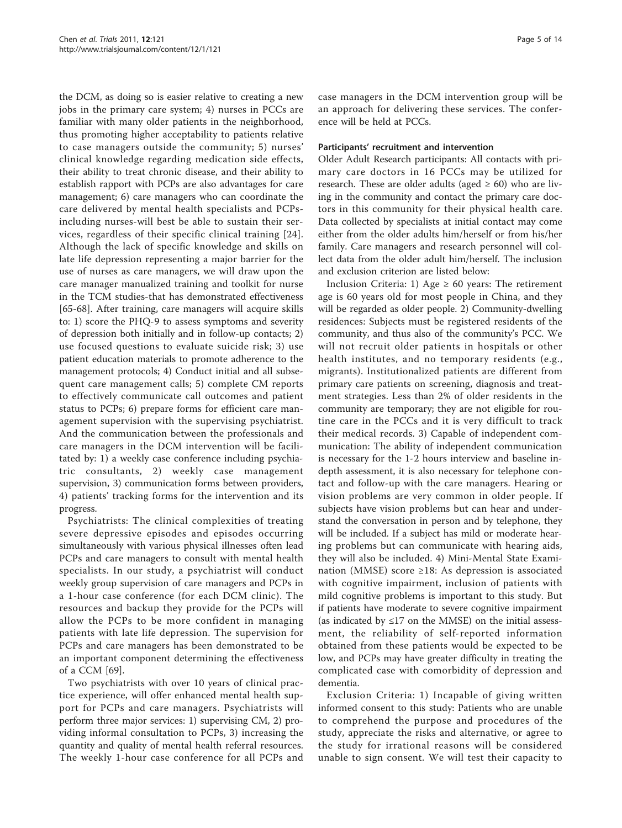the DCM, as doing so is easier relative to creating a new jobs in the primary care system; 4) nurses in PCCs are familiar with many older patients in the neighborhood, thus promoting higher acceptability to patients relative to case managers outside the community; 5) nurses' clinical knowledge regarding medication side effects, their ability to treat chronic disease, and their ability to establish rapport with PCPs are also advantages for care management; 6) care managers who can coordinate the care delivered by mental health specialists and PCPsincluding nurses-will best be able to sustain their services, regardless of their specific clinical training [[24\]](#page-11-0). Although the lack of specific knowledge and skills on late life depression representing a major barrier for the use of nurses as care managers, we will draw upon the care manager manualized training and toolkit for nurse in the TCM studies-that has demonstrated effectiveness [[65-68](#page-12-0)]. After training, care managers will acquire skills to: 1) score the PHQ-9 to assess symptoms and severity of depression both initially and in follow-up contacts; 2) use focused questions to evaluate suicide risk; 3) use patient education materials to promote adherence to the management protocols; 4) Conduct initial and all subsequent care management calls; 5) complete CM reports to effectively communicate call outcomes and patient status to PCPs; 6) prepare forms for efficient care management supervision with the supervising psychiatrist. And the communication between the professionals and care managers in the DCM intervention will be facilitated by: 1) a weekly case conference including psychiatric consultants, 2) weekly case management supervision, 3) communication forms between providers, 4) patients' tracking forms for the intervention and its progress.

Psychiatrists: The clinical complexities of treating severe depressive episodes and episodes occurring simultaneously with various physical illnesses often lead PCPs and care managers to consult with mental health specialists. In our study, a psychiatrist will conduct weekly group supervision of care managers and PCPs in a 1-hour case conference (for each DCM clinic). The resources and backup they provide for the PCPs will allow the PCPs to be more confident in managing patients with late life depression. The supervision for PCPs and care managers has been demonstrated to be an important component determining the effectiveness of a CCM [\[69\]](#page-12-0).

Two psychiatrists with over 10 years of clinical practice experience, will offer enhanced mental health support for PCPs and care managers. Psychiatrists will perform three major services: 1) supervising CM, 2) providing informal consultation to PCPs, 3) increasing the quantity and quality of mental health referral resources. The weekly 1-hour case conference for all PCPs and case managers in the DCM intervention group will be an approach for delivering these services. The conference will be held at PCCs.

#### Participants' recruitment and intervention

Older Adult Research participants: All contacts with primary care doctors in 16 PCCs may be utilized for research. These are older adults (aged  $\geq 60$ ) who are living in the community and contact the primary care doctors in this community for their physical health care. Data collected by specialists at initial contact may come either from the older adults him/herself or from his/her family. Care managers and research personnel will collect data from the older adult him/herself. The inclusion and exclusion criterion are listed below:

Inclusion Criteria: 1) Age  $\geq 60$  vears: The retirement age is 60 years old for most people in China, and they will be regarded as older people. 2) Community-dwelling residences: Subjects must be registered residents of the community, and thus also of the community's PCC. We will not recruit older patients in hospitals or other health institutes, and no temporary residents (e.g., migrants). Institutionalized patients are different from primary care patients on screening, diagnosis and treatment strategies. Less than 2% of older residents in the community are temporary; they are not eligible for routine care in the PCCs and it is very difficult to track their medical records. 3) Capable of independent communication: The ability of independent communication is necessary for the 1-2 hours interview and baseline indepth assessment, it is also necessary for telephone contact and follow-up with the care managers. Hearing or vision problems are very common in older people. If subjects have vision problems but can hear and understand the conversation in person and by telephone, they will be included. If a subject has mild or moderate hearing problems but can communicate with hearing aids, they will also be included. 4) Mini-Mental State Examination (MMSE) score ≥18: As depression is associated with cognitive impairment, inclusion of patients with mild cognitive problems is important to this study. But if patients have moderate to severe cognitive impairment (as indicated by  $\leq$ 17 on the MMSE) on the initial assessment, the reliability of self-reported information obtained from these patients would be expected to be low, and PCPs may have greater difficulty in treating the complicated case with comorbidity of depression and dementia.

Exclusion Criteria: 1) Incapable of giving written informed consent to this study: Patients who are unable to comprehend the purpose and procedures of the study, appreciate the risks and alternative, or agree to the study for irrational reasons will be considered unable to sign consent. We will test their capacity to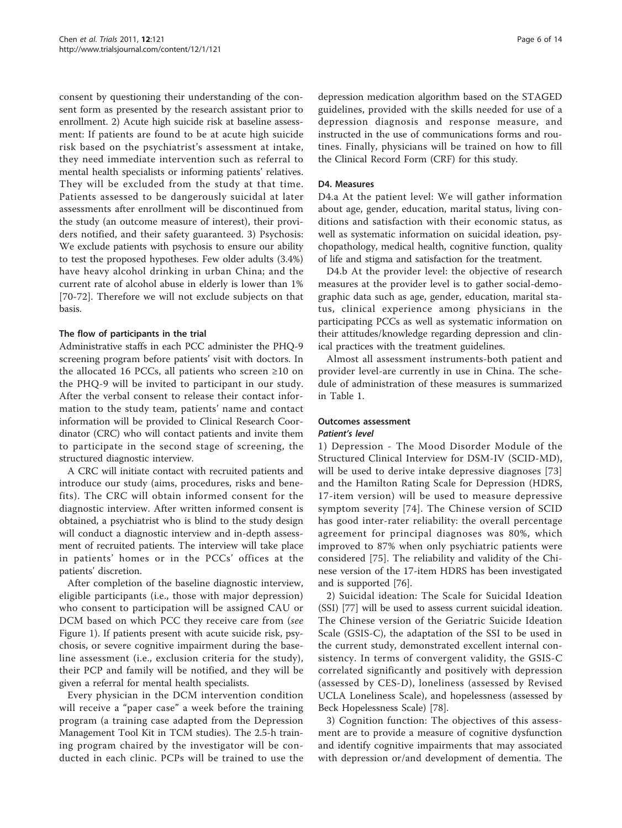consent by questioning their understanding of the consent form as presented by the research assistant prior to enrollment. 2) Acute high suicide risk at baseline assessment: If patients are found to be at acute high suicide risk based on the psychiatrist's assessment at intake, they need immediate intervention such as referral to mental health specialists or informing patients' relatives. They will be excluded from the study at that time. Patients assessed to be dangerously suicidal at later assessments after enrollment will be discontinued from the study (an outcome measure of interest), their providers notified, and their safety guaranteed. 3) Psychosis: We exclude patients with psychosis to ensure our ability to test the proposed hypotheses. Few older adults (3.4%) have heavy alcohol drinking in urban China; and the current rate of alcohol abuse in elderly is lower than 1% [[70](#page-12-0)-[72\]](#page-12-0). Therefore we will not exclude subjects on that basis.

## The flow of participants in the trial

Administrative staffs in each PCC administer the PHQ-9 screening program before patients' visit with doctors. In the allocated 16 PCCs, all patients who screen  $\geq 10$  on the PHQ-9 will be invited to participant in our study. After the verbal consent to release their contact information to the study team, patients' name and contact information will be provided to Clinical Research Coordinator (CRC) who will contact patients and invite them to participate in the second stage of screening, the structured diagnostic interview.

A CRC will initiate contact with recruited patients and introduce our study (aims, procedures, risks and benefits). The CRC will obtain informed consent for the diagnostic interview. After written informed consent is obtained, a psychiatrist who is blind to the study design will conduct a diagnostic interview and in-depth assessment of recruited patients. The interview will take place in patients' homes or in the PCCs' offices at the patients' discretion.

After completion of the baseline diagnostic interview, eligible participants (i.e., those with major depression) who consent to participation will be assigned CAU or DCM based on which PCC they receive care from (see Figure [1](#page-6-0)). If patients present with acute suicide risk, psychosis, or severe cognitive impairment during the baseline assessment (i.e., exclusion criteria for the study), their PCP and family will be notified, and they will be given a referral for mental health specialists.

Every physician in the DCM intervention condition will receive a "paper case" a week before the training program (a training case adapted from the Depression Management Tool Kit in TCM studies). The 2.5-h training program chaired by the investigator will be conducted in each clinic. PCPs will be trained to use the depression medication algorithm based on the STAGED guidelines, provided with the skills needed for use of a depression diagnosis and response measure, and instructed in the use of communications forms and routines. Finally, physicians will be trained on how to fill the Clinical Record Form (CRF) for this study.

## D4. Measures

D4.a At the patient level: We will gather information about age, gender, education, marital status, living conditions and satisfaction with their economic status, as well as systematic information on suicidal ideation, psychopathology, medical health, cognitive function, quality of life and stigma and satisfaction for the treatment.

D4.b At the provider level: the objective of research measures at the provider level is to gather social-demographic data such as age, gender, education, marital status, clinical experience among physicians in the participating PCCs as well as systematic information on their attitudes/knowledge regarding depression and clinical practices with the treatment guidelines.

Almost all assessment instruments-both patient and provider level-are currently in use in China. The schedule of administration of these measures is summarized in Table [1.](#page-7-0)

## Outcomes assessment Patient's level

1) Depression - The Mood Disorder Module of the Structured Clinical Interview for DSM-IV (SCID-MD), will be used to derive intake depressive diagnoses [[73](#page-12-0)] and the Hamilton Rating Scale for Depression (HDRS, 17-item version) will be used to measure depressive symptom severity [[74](#page-12-0)]. The Chinese version of SCID has good inter-rater reliability: the overall percentage agreement for principal diagnoses was 80%, which improved to 87% when only psychiatric patients were considered [[75](#page-12-0)]. The reliability and validity of the Chinese version of the 17-item HDRS has been investigated and is supported [[76\]](#page-12-0).

2) Suicidal ideation: The Scale for Suicidal Ideation (SSI) [[77](#page-12-0)] will be used to assess current suicidal ideation. The Chinese version of the Geriatric Suicide Ideation Scale (GSIS-C), the adaptation of the SSI to be used in the current study, demonstrated excellent internal consistency. In terms of convergent validity, the GSIS-C correlated significantly and positively with depression (assessed by CES-D), loneliness (assessed by Revised UCLA Loneliness Scale), and hopelessness (assessed by Beck Hopelessness Scale) [[78\]](#page-12-0).

3) Cognition function: The objectives of this assessment are to provide a measure of cognitive dysfunction and identify cognitive impairments that may associated with depression or/and development of dementia. The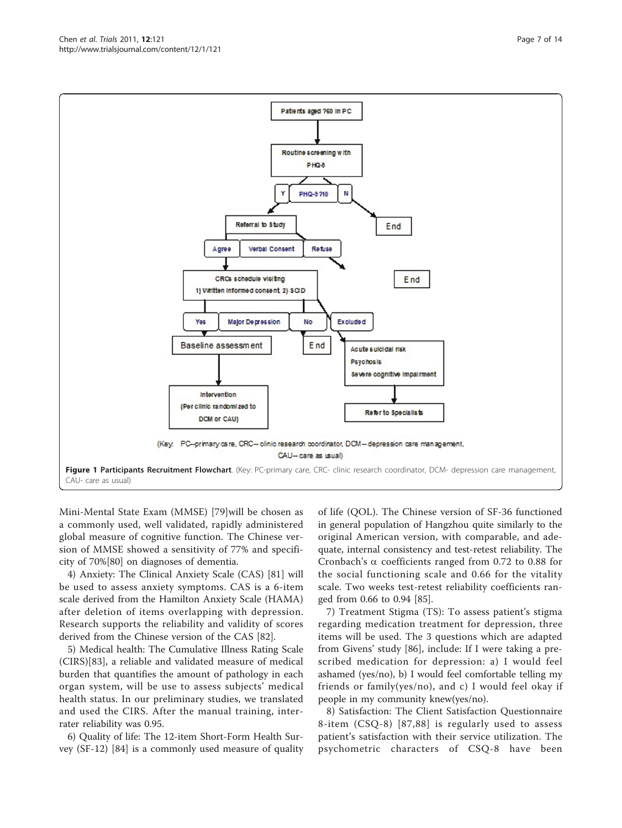Mini-Mental State Exam (MMSE) [[79\]](#page-12-0)will be chosen as a commonly used, well validated, rapidly administered global measure of cognitive function. The Chinese version of MMSE showed a sensitivity of 77% and specificity of 70%[\[80](#page-12-0)] on diagnoses of dementia.

4) Anxiety: The Clinical Anxiety Scale (CAS) [\[81](#page-12-0)] will be used to assess anxiety symptoms. CAS is a 6-item scale derived from the Hamilton Anxiety Scale (HAMA) after deletion of items overlapping with depression. Research supports the reliability and validity of scores derived from the Chinese version of the CAS [\[82\]](#page-12-0).

5) Medical health: The Cumulative Illness Rating Scale (CIRS)[[83\]](#page-12-0), a reliable and validated measure of medical burden that quantifies the amount of pathology in each organ system, will be use to assess subjects' medical health status. In our preliminary studies, we translated and used the CIRS. After the manual training, interrater reliability was 0.95.

6) Quality of life: The 12-item Short-Form Health Survey (SF-12) [\[84](#page-12-0)] is a commonly used measure of quality

of life (QOL). The Chinese version of SF-36 functioned in general population of Hangzhou quite similarly to the original American version, with comparable, and adequate, internal consistency and test-retest reliability. The Cronbach's  $\alpha$  coefficients ranged from 0.72 to 0.88 for the social functioning scale and 0.66 for the vitality scale. Two weeks test-retest reliability coefficients ranged from 0.66 to 0.94 [[85\]](#page-12-0).

7) Treatment Stigma (TS): To assess patient's stigma regarding medication treatment for depression, three items will be used. The 3 questions which are adapted from Givens' study [[86\]](#page-13-0), include: If I were taking a prescribed medication for depression: a) I would feel ashamed (yes/no), b) I would feel comfortable telling my friends or family(yes/no), and c) I would feel okay if people in my community knew(yes/no).

8) Satisfaction: The Client Satisfaction Questionnaire 8-item (CSQ-8) [[87](#page-13-0),[88\]](#page-13-0) is regularly used to assess patient's satisfaction with their service utilization. The psychometric characters of CSQ-8 have been

<span id="page-6-0"></span>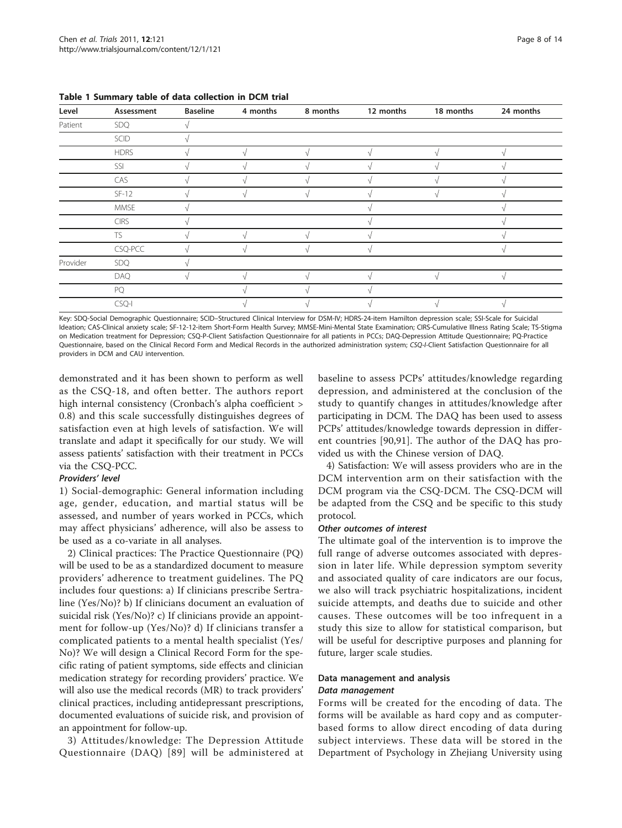| Level    | Assessment  | <b>Baseline</b> | 4 months | 8 months | 12 months | 18 months | 24 months |
|----------|-------------|-----------------|----------|----------|-----------|-----------|-----------|
| Patient  | SDQ         |                 |          |          |           |           |           |
|          | SCID        |                 |          |          |           |           |           |
|          | <b>HDRS</b> |                 |          |          |           |           |           |
|          | SSI         |                 |          |          |           |           |           |
|          | CAS         |                 |          |          |           |           |           |
|          | $SF-12$     |                 |          |          |           |           |           |
|          | <b>MMSE</b> |                 |          |          |           |           |           |
|          | <b>CIRS</b> |                 |          |          |           |           |           |
|          | <b>TS</b>   |                 |          |          |           |           |           |
|          | CSQ-PCC     |                 |          |          |           |           |           |
| Provider | SDQ         |                 |          |          |           |           |           |
|          | DAQ         |                 |          |          |           |           |           |
|          | PQ          |                 |          |          |           |           |           |
|          | CSQ-I       |                 |          |          |           |           |           |

<span id="page-7-0"></span>Table 1 Summary table of data collection in DCM trial

Key: SDQ-Social Demographic Questionnaire; SCID–Structured Clinical Interview for DSM-IV; HDRS-24-item Hamilton depression scale; SSI-Scale for Suicidal Ideation; CAS-Clinical anxiety scale; SF-12-12-item Short-Form Health Survey; MMSE-Mini-Mental State Examination; CIRS-Cumulative Illness Rating Scale; TS-Stigma on Medication treatment for Depression; CSQ-P-Client Satisfaction Questionnaire for all patients in PCCs; DAQ-Depression Attitude Questionnaire; PQ-Practice Questionnaire, based on the Clinical Record Form and Medical Records in the authorized administration system; CSQ-I-Client Satisfaction Questionnaire for all providers in DCM and CAU intervention.

demonstrated and it has been shown to perform as well as the CSQ-18, and often better. The authors report high internal consistency (Cronbach's alpha coefficient > 0.8) and this scale successfully distinguishes degrees of satisfaction even at high levels of satisfaction. We will translate and adapt it specifically for our study. We will assess patients' satisfaction with their treatment in PCCs via the CSQ-PCC.

#### Providers' level

1) Social-demographic: General information including age, gender, education, and martial status will be assessed, and number of years worked in PCCs, which may affect physicians' adherence, will also be assess to be used as a co-variate in all analyses.

2) Clinical practices: The Practice Questionnaire (PQ) will be used to be as a standardized document to measure providers' adherence to treatment guidelines. The PQ includes four questions: a) If clinicians prescribe Sertraline (Yes/No)? b) If clinicians document an evaluation of suicidal risk (Yes/No)? c) If clinicians provide an appointment for follow-up (Yes/No)? d) If clinicians transfer a complicated patients to a mental health specialist (Yes/ No)? We will design a Clinical Record Form for the specific rating of patient symptoms, side effects and clinician medication strategy for recording providers' practice. We will also use the medical records (MR) to track providers' clinical practices, including antidepressant prescriptions, documented evaluations of suicide risk, and provision of an appointment for follow-up.

3) Attitudes/knowledge: The Depression Attitude Questionnaire (DAQ) [[89\]](#page-13-0) will be administered at

baseline to assess PCPs' attitudes/knowledge regarding depression, and administered at the conclusion of the study to quantify changes in attitudes/knowledge after participating in DCM. The DAQ has been used to assess PCPs' attitudes/knowledge towards depression in different countries [[90,91](#page-13-0)]. The author of the DAQ has provided us with the Chinese version of DAQ.

4) Satisfaction: We will assess providers who are in the DCM intervention arm on their satisfaction with the DCM program via the CSQ-DCM. The CSQ-DCM will be adapted from the CSQ and be specific to this study protocol.

#### Other outcomes of interest

The ultimate goal of the intervention is to improve the full range of adverse outcomes associated with depression in later life. While depression symptom severity and associated quality of care indicators are our focus, we also will track psychiatric hospitalizations, incident suicide attempts, and deaths due to suicide and other causes. These outcomes will be too infrequent in a study this size to allow for statistical comparison, but will be useful for descriptive purposes and planning for future, larger scale studies.

#### Data management and analysis

#### Data management

Forms will be created for the encoding of data. The forms will be available as hard copy and as computerbased forms to allow direct encoding of data during subject interviews. These data will be stored in the Department of Psychology in Zhejiang University using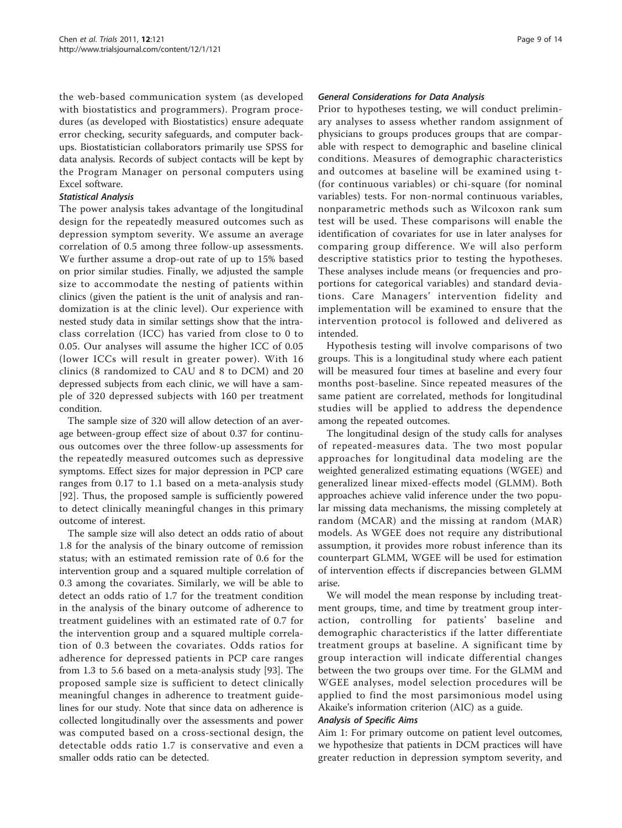the web-based communication system (as developed with biostatistics and programmers). Program procedures (as developed with Biostatistics) ensure adequate error checking, security safeguards, and computer backups. Biostatistician collaborators primarily use SPSS for data analysis. Records of subject contacts will be kept by the Program Manager on personal computers using Excel software.

## Statistical Analysis

The power analysis takes advantage of the longitudinal design for the repeatedly measured outcomes such as depression symptom severity. We assume an average correlation of 0.5 among three follow-up assessments. We further assume a drop-out rate of up to 15% based on prior similar studies. Finally, we adjusted the sample size to accommodate the nesting of patients within clinics (given the patient is the unit of analysis and randomization is at the clinic level). Our experience with nested study data in similar settings show that the intraclass correlation (ICC) has varied from close to 0 to 0.05. Our analyses will assume the higher ICC of 0.05 (lower ICCs will result in greater power). With 16 clinics (8 randomized to CAU and 8 to DCM) and 20 depressed subjects from each clinic, we will have a sample of 320 depressed subjects with 160 per treatment condition.

The sample size of 320 will allow detection of an average between-group effect size of about 0.37 for continuous outcomes over the three follow-up assessments for the repeatedly measured outcomes such as depressive symptoms. Effect sizes for major depression in PCP care ranges from 0.17 to 1.1 based on a meta-analysis study [[92\]](#page-13-0). Thus, the proposed sample is sufficiently powered to detect clinically meaningful changes in this primary outcome of interest.

The sample size will also detect an odds ratio of about 1.8 for the analysis of the binary outcome of remission status; with an estimated remission rate of 0.6 for the intervention group and a squared multiple correlation of 0.3 among the covariates. Similarly, we will be able to detect an odds ratio of 1.7 for the treatment condition in the analysis of the binary outcome of adherence to treatment guidelines with an estimated rate of 0.7 for the intervention group and a squared multiple correlation of 0.3 between the covariates. Odds ratios for adherence for depressed patients in PCP care ranges from 1.3 to 5.6 based on a meta-analysis study [[93\]](#page-13-0). The proposed sample size is sufficient to detect clinically meaningful changes in adherence to treatment guidelines for our study. Note that since data on adherence is collected longitudinally over the assessments and power was computed based on a cross-sectional design, the detectable odds ratio 1.7 is conservative and even a smaller odds ratio can be detected.

#### General Considerations for Data Analysis

Prior to hypotheses testing, we will conduct preliminary analyses to assess whether random assignment of physicians to groups produces groups that are comparable with respect to demographic and baseline clinical conditions. Measures of demographic characteristics and outcomes at baseline will be examined using t- (for continuous variables) or chi-square (for nominal variables) tests. For non-normal continuous variables, nonparametric methods such as Wilcoxon rank sum test will be used. These comparisons will enable the identification of covariates for use in later analyses for comparing group difference. We will also perform descriptive statistics prior to testing the hypotheses. These analyses include means (or frequencies and proportions for categorical variables) and standard deviations. Care Managers' intervention fidelity and implementation will be examined to ensure that the intervention protocol is followed and delivered as intended.

Hypothesis testing will involve comparisons of two groups. This is a longitudinal study where each patient will be measured four times at baseline and every four months post-baseline. Since repeated measures of the same patient are correlated, methods for longitudinal studies will be applied to address the dependence among the repeated outcomes.

The longitudinal design of the study calls for analyses of repeated-measures data. The two most popular approaches for longitudinal data modeling are the weighted generalized estimating equations (WGEE) and generalized linear mixed-effects model (GLMM). Both approaches achieve valid inference under the two popular missing data mechanisms, the missing completely at random (MCAR) and the missing at random (MAR) models. As WGEE does not require any distributional assumption, it provides more robust inference than its counterpart GLMM, WGEE will be used for estimation of intervention effects if discrepancies between GLMM arise.

We will model the mean response by including treatment groups, time, and time by treatment group interaction, controlling for patients' baseline and demographic characteristics if the latter differentiate treatment groups at baseline. A significant time by group interaction will indicate differential changes between the two groups over time. For the GLMM and WGEE analyses, model selection procedures will be applied to find the most parsimonious model using Akaike's information criterion (AIC) as a guide.

#### Analysis of Specific Aims

Aim 1: For primary outcome on patient level outcomes, we hypothesize that patients in DCM practices will have greater reduction in depression symptom severity, and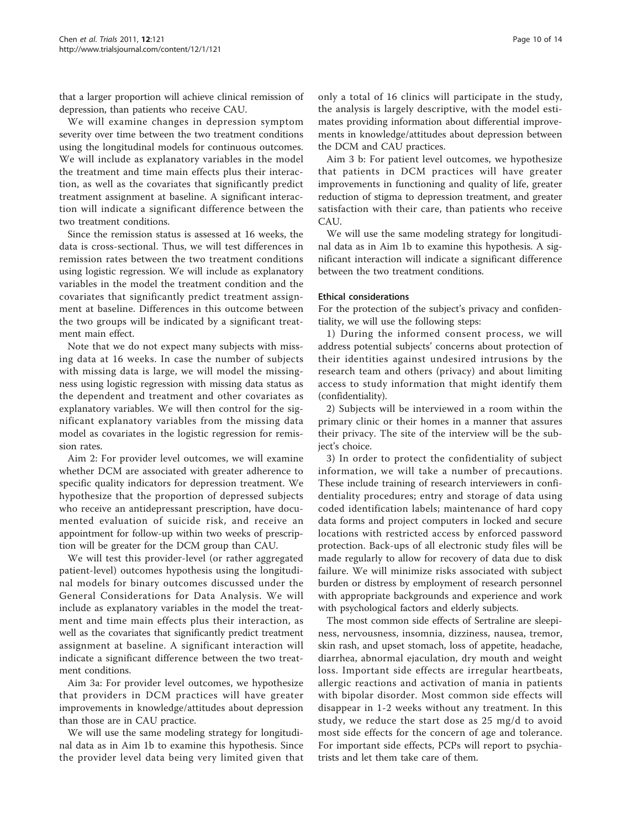that a larger proportion will achieve clinical remission of depression, than patients who receive CAU.

We will examine changes in depression symptom severity over time between the two treatment conditions using the longitudinal models for continuous outcomes. We will include as explanatory variables in the model the treatment and time main effects plus their interaction, as well as the covariates that significantly predict treatment assignment at baseline. A significant interaction will indicate a significant difference between the two treatment conditions.

Since the remission status is assessed at 16 weeks, the data is cross-sectional. Thus, we will test differences in remission rates between the two treatment conditions using logistic regression. We will include as explanatory variables in the model the treatment condition and the covariates that significantly predict treatment assignment at baseline. Differences in this outcome between the two groups will be indicated by a significant treatment main effect.

Note that we do not expect many subjects with missing data at 16 weeks. In case the number of subjects with missing data is large, we will model the missingness using logistic regression with missing data status as the dependent and treatment and other covariates as explanatory variables. We will then control for the significant explanatory variables from the missing data model as covariates in the logistic regression for remission rates.

Aim 2: For provider level outcomes, we will examine whether DCM are associated with greater adherence to specific quality indicators for depression treatment. We hypothesize that the proportion of depressed subjects who receive an antidepressant prescription, have documented evaluation of suicide risk, and receive an appointment for follow-up within two weeks of prescription will be greater for the DCM group than CAU.

We will test this provider-level (or rather aggregated patient-level) outcomes hypothesis using the longitudinal models for binary outcomes discussed under the General Considerations for Data Analysis. We will include as explanatory variables in the model the treatment and time main effects plus their interaction, as well as the covariates that significantly predict treatment assignment at baseline. A significant interaction will indicate a significant difference between the two treatment conditions.

Aim 3a: For provider level outcomes, we hypothesize that providers in DCM practices will have greater improvements in knowledge/attitudes about depression than those are in CAU practice.

We will use the same modeling strategy for longitudinal data as in Aim 1b to examine this hypothesis. Since the provider level data being very limited given that

only a total of 16 clinics will participate in the study, the analysis is largely descriptive, with the model estimates providing information about differential improvements in knowledge/attitudes about depression between the DCM and CAU practices.

Aim 3 b: For patient level outcomes, we hypothesize that patients in DCM practices will have greater improvements in functioning and quality of life, greater reduction of stigma to depression treatment, and greater satisfaction with their care, than patients who receive CAU.

We will use the same modeling strategy for longitudinal data as in Aim 1b to examine this hypothesis. A significant interaction will indicate a significant difference between the two treatment conditions.

#### Ethical considerations

For the protection of the subject's privacy and confidentiality, we will use the following steps:

1) During the informed consent process, we will address potential subjects' concerns about protection of their identities against undesired intrusions by the research team and others (privacy) and about limiting access to study information that might identify them (confidentiality).

2) Subjects will be interviewed in a room within the primary clinic or their homes in a manner that assures their privacy. The site of the interview will be the subject's choice.

3) In order to protect the confidentiality of subject information, we will take a number of precautions. These include training of research interviewers in confidentiality procedures; entry and storage of data using coded identification labels; maintenance of hard copy data forms and project computers in locked and secure locations with restricted access by enforced password protection. Back-ups of all electronic study files will be made regularly to allow for recovery of data due to disk failure. We will minimize risks associated with subject burden or distress by employment of research personnel with appropriate backgrounds and experience and work with psychological factors and elderly subjects.

The most common side effects of Sertraline are sleepiness, nervousness, insomnia, dizziness, nausea, tremor, skin rash, and upset stomach, loss of appetite, headache, diarrhea, abnormal ejaculation, dry mouth and weight loss. Important side effects are irregular heartbeats, allergic reactions and activation of mania in patients with bipolar disorder. Most common side effects will disappear in 1-2 weeks without any treatment. In this study, we reduce the start dose as 25 mg/d to avoid most side effects for the concern of age and tolerance. For important side effects, PCPs will report to psychiatrists and let them take care of them.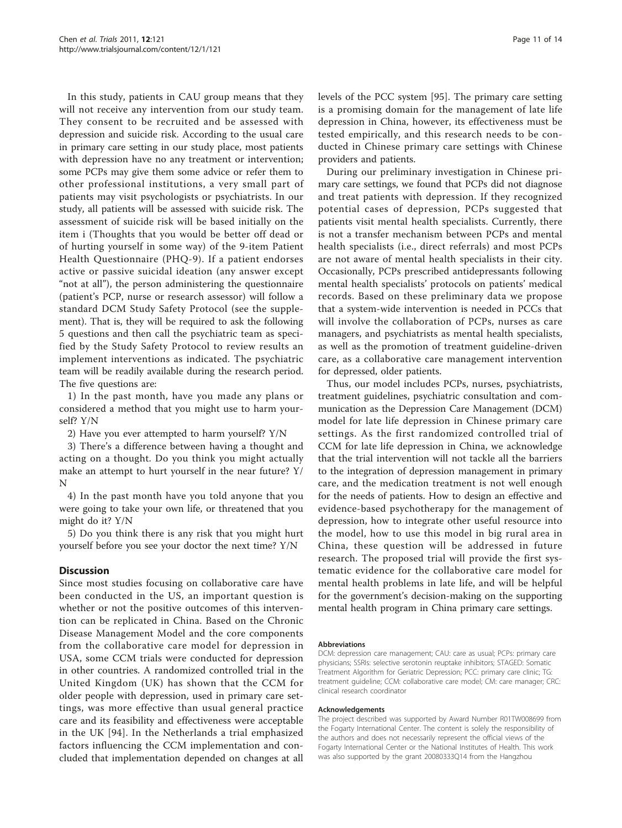In this study, patients in CAU group means that they will not receive any intervention from our study team. They consent to be recruited and be assessed with depression and suicide risk. According to the usual care in primary care setting in our study place, most patients with depression have no any treatment or intervention; some PCPs may give them some advice or refer them to other professional institutions, a very small part of patients may visit psychologists or psychiatrists. In our study, all patients will be assessed with suicide risk. The assessment of suicide risk will be based initially on the item i (Thoughts that you would be better off dead or of hurting yourself in some way) of the 9-item Patient Health Questionnaire (PHQ-9). If a patient endorses active or passive suicidal ideation (any answer except "not at all"), the person administering the questionnaire (patient's PCP, nurse or research assessor) will follow a standard DCM Study Safety Protocol (see the supplement). That is, they will be required to ask the following 5 questions and then call the psychiatric team as specified by the Study Safety Protocol to review results an implement interventions as indicated. The psychiatric team will be readily available during the research period. The five questions are:

1) In the past month, have you made any plans or considered a method that you might use to harm yourself? Y/N

2) Have you ever attempted to harm yourself? Y/N

3) There's a difference between having a thought and acting on a thought. Do you think you might actually make an attempt to hurt yourself in the near future? Y/ N

4) In the past month have you told anyone that you were going to take your own life, or threatened that you might do it? Y/N

5) Do you think there is any risk that you might hurt yourself before you see your doctor the next time? Y/N

## **Discussion**

Since most studies focusing on collaborative care have been conducted in the US, an important question is whether or not the positive outcomes of this intervention can be replicated in China. Based on the Chronic Disease Management Model and the core components from the collaborative care model for depression in USA, some CCM trials were conducted for depression in other countries. A randomized controlled trial in the United Kingdom (UK) has shown that the CCM for older people with depression, used in primary care settings, was more effective than usual general practice care and its feasibility and effectiveness were acceptable in the UK [[94](#page-13-0)]. In the Netherlands a trial emphasized factors influencing the CCM implementation and concluded that implementation depended on changes at all levels of the PCC system [[95\]](#page-13-0). The primary care setting is a promising domain for the management of late life depression in China, however, its effectiveness must be tested empirically, and this research needs to be conducted in Chinese primary care settings with Chinese providers and patients.

During our preliminary investigation in Chinese primary care settings, we found that PCPs did not diagnose and treat patients with depression. If they recognized potential cases of depression, PCPs suggested that patients visit mental health specialists. Currently, there is not a transfer mechanism between PCPs and mental health specialists (i.e., direct referrals) and most PCPs are not aware of mental health specialists in their city. Occasionally, PCPs prescribed antidepressants following mental health specialists' protocols on patients' medical records. Based on these preliminary data we propose that a system-wide intervention is needed in PCCs that will involve the collaboration of PCPs, nurses as care managers, and psychiatrists as mental health specialists, as well as the promotion of treatment guideline-driven care, as a collaborative care management intervention for depressed, older patients.

Thus, our model includes PCPs, nurses, psychiatrists, treatment guidelines, psychiatric consultation and communication as the Depression Care Management (DCM) model for late life depression in Chinese primary care settings. As the first randomized controlled trial of CCM for late life depression in China, we acknowledge that the trial intervention will not tackle all the barriers to the integration of depression management in primary care, and the medication treatment is not well enough for the needs of patients. How to design an effective and evidence-based psychotherapy for the management of depression, how to integrate other useful resource into the model, how to use this model in big rural area in China, these question will be addressed in future research. The proposed trial will provide the first systematic evidence for the collaborative care model for mental health problems in late life, and will be helpful for the government's decision-making on the supporting mental health program in China primary care settings.

#### **Abbreviations**

DCM: depression care management; CAU: care as usual; PCPs: primary care physicians; SSRIs: selective serotonin reuptake inhibitors; STAGED: Somatic Treatment Algorithm for Geriatric Depression; PCC: primary care clinic; TG: treatment guideline; CCM: collaborative care model; CM: care manager; CRC: clinical research coordinator

#### Acknowledgements

The project described was supported by Award Number R01TW008699 from the Fogarty International Center. The content is solely the responsibility of the authors and does not necessarily represent the official views of the Fogarty International Center or the National Institutes of Health. This work was also supported by the grant 20080333Q14 from the Hangzhou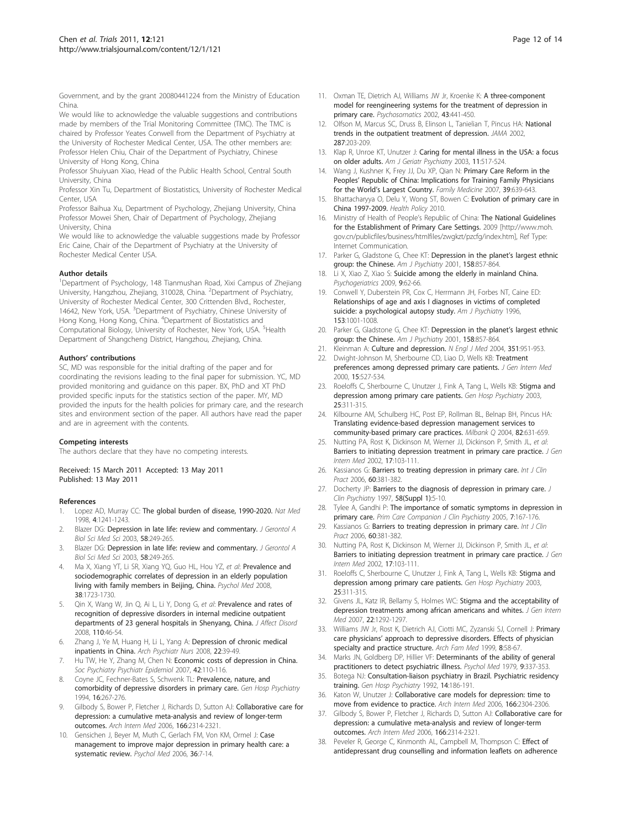<span id="page-11-0"></span>Government, and by the grant 20080441224 from the Ministry of Education China.

We would like to acknowledge the valuable suggestions and contributions made by members of the Trial Monitoring Committee (TMC). The TMC is chaired by Professor Yeates Conwell from the Department of Psychiatry at the University of Rochester Medical Center, USA. The other members are: Professor Helen Chiu, Chair of the Department of Psychiatry, Chinese University of Hong Kong, China

Professor Shuiyuan Xiao, Head of the Public Health School, Central South University, China

Professor Xin Tu, Department of Biostatistics, University of Rochester Medical Center, USA

Professor Baihua Xu, Department of Psychology, Zhejiang University, China Professor Mowei Shen, Chair of Department of Psychology, Zhejiang University, China

We would like to acknowledge the valuable suggestions made by Professor Eric Caine, Chair of the Department of Psychiatry at the University of Rochester Medical Center USA.

#### Author details

<sup>1</sup>Department of Psychology, 148 Tianmushan Road, Xixi Campus of Zhejiang University, Hangzhou, Zhejiang, 310028, China. <sup>2</sup>Department of Psychiatry, University of Rochester Medical Center, 300 Crittenden Blvd., Rochester, 14642, New York, USA. <sup>3</sup>Department of Psychiatry, Chinese University of Hong Kong, Hong Kong, China. <sup>4</sup>Department of Biostatistics and Computational Biology, University of Rochester, New York, USA. <sup>5</sup>Health Department of Shangcheng District, Hangzhou, Zhejiang, China.

#### Authors' contributions

SC, MD was responsible for the initial drafting of the paper and for coordinating the revisions leading to the final paper for submission. YC, MD provided monitoring and guidance on this paper. BX, PhD and XT PhD provided specific inputs for the statistics section of the paper. MY, MD provided the inputs for the health policies for primary care, and the research sites and environment section of the paper. All authors have read the paper and are in agreement with the contents.

#### Competing interests

The authors declare that they have no competing interests.

Received: 15 March 2011 Accepted: 13 May 2011 Published: 13 May 2011

#### References

- 1. Lopez AD, Murray CC: [The global burden of disease, 1990-2020.](http://www.ncbi.nlm.nih.gov/pubmed/9809543?dopt=Abstract) Nat Med 1998, 4:1241-1243.
- 2. Blazer DG: [Depression in late life: review and commentary.](http://www.ncbi.nlm.nih.gov/pubmed/12634292?dopt=Abstract) J Gerontol A Biol Sci Med Sci 2003, 58:249-265.
- 3. Blazer DG: [Depression in late life: review and commentary.](http://www.ncbi.nlm.nih.gov/pubmed/12634292?dopt=Abstract) J Gerontol A Biol Sci Med Sci 2003, 58:249-265.
- 4. Ma X, Xiang YT, Li SR, Xiang YQ, Guo HL, Hou YZ, et al: [Prevalence and](http://www.ncbi.nlm.nih.gov/pubmed/18366820?dopt=Abstract) [sociodemographic correlates of depression in an elderly population](http://www.ncbi.nlm.nih.gov/pubmed/18366820?dopt=Abstract) [living with family members in Beijing, China.](http://www.ncbi.nlm.nih.gov/pubmed/18366820?dopt=Abstract) Psychol Med 2008, 38:1723-1730.
- Qin X, Wang W, Jin Q, Ai L, Li Y, Dong G, et al: [Prevalence and rates of](http://www.ncbi.nlm.nih.gov/pubmed/18261805?dopt=Abstract) [recognition of depressive disorders in internal medicine outpatient](http://www.ncbi.nlm.nih.gov/pubmed/18261805?dopt=Abstract) [departments of 23 general hospitals in Shenyang, China.](http://www.ncbi.nlm.nih.gov/pubmed/18261805?dopt=Abstract) J Affect Disord 2008, 110:46-54.
- 6. Zhang J, Ye M, Huang H, Li L, Yang A: [Depression of chronic medical](http://www.ncbi.nlm.nih.gov/pubmed/18207055?dopt=Abstract) [inpatients in China.](http://www.ncbi.nlm.nih.gov/pubmed/18207055?dopt=Abstract) Arch Psychiatr Nurs 2008, 22:39-49.
- 7. Hu TW, He Y, Zhang M, Chen N: [Economic costs of depression in China.](http://www.ncbi.nlm.nih.gov/pubmed/17235441?dopt=Abstract) Soc Psychiatry Psychiatr Epidemiol 2007, 42:110-116.
- 8. Coyne JC, Fechner-Bates S, Schwenk TL: [Prevalence, nature, and](http://www.ncbi.nlm.nih.gov/pubmed/7926703?dopt=Abstract) [comorbidity of depressive disorders in primary care.](http://www.ncbi.nlm.nih.gov/pubmed/7926703?dopt=Abstract) Gen Hosp Psychiatry 1994, 16:267-276.
- 9. Gilbody S, Bower P, Fletcher J, Richards D, Sutton AJ: [Collaborative care for](http://www.ncbi.nlm.nih.gov/pubmed/17130383?dopt=Abstract) [depression: a cumulative meta-analysis and review of longer-term](http://www.ncbi.nlm.nih.gov/pubmed/17130383?dopt=Abstract) [outcomes.](http://www.ncbi.nlm.nih.gov/pubmed/17130383?dopt=Abstract) Arch Intern Med 2006, 166:2314-2321.
- 10. Gensichen J, Beyer M, Muth C, Gerlach FM, Von KM, Ormel J: [Case](http://www.ncbi.nlm.nih.gov/pubmed/16356292?dopt=Abstract) [management to improve major depression in primary health care: a](http://www.ncbi.nlm.nih.gov/pubmed/16356292?dopt=Abstract) [systematic review.](http://www.ncbi.nlm.nih.gov/pubmed/16356292?dopt=Abstract) Psychol Med 2006, 36:7-14.
- 11. Oxman TE, Dietrich AJ, Williams JW Jr, Kroenke K: [A three-component](http://www.ncbi.nlm.nih.gov/pubmed/12444226?dopt=Abstract) [model for reengineering systems for the treatment of depression in](http://www.ncbi.nlm.nih.gov/pubmed/12444226?dopt=Abstract) [primary care.](http://www.ncbi.nlm.nih.gov/pubmed/12444226?dopt=Abstract) Psychosomatics 2002, 43:441-450.
- 12. Olfson M, Marcus SC, Druss B, Elinson L, Tanielian T, Pincus HA: [National](http://www.ncbi.nlm.nih.gov/pubmed/11779262?dopt=Abstract) [trends in the outpatient treatment of depression.](http://www.ncbi.nlm.nih.gov/pubmed/11779262?dopt=Abstract) JAMA 2002, 287:203-209.
- 13. Klap R, Unroe KT, Unutzer J: [Caring for mental illness in the USA: a focus](http://www.ncbi.nlm.nih.gov/pubmed/14506085?dopt=Abstract) [on older adults.](http://www.ncbi.nlm.nih.gov/pubmed/14506085?dopt=Abstract) Am J Geriatr Psychiatry 2003, 11:517-524.
- 14. Wang J, Kushner K, Frey JJ, Du XP, Qian N: [Primary Care Reform in the](http://www.ncbi.nlm.nih.gov/pubmed/17932797?dopt=Abstract) Peoples' [Republic of China: Implications for Training Family Physicians](http://www.ncbi.nlm.nih.gov/pubmed/17932797?dopt=Abstract) for the World'[s Largest Country.](http://www.ncbi.nlm.nih.gov/pubmed/17932797?dopt=Abstract) Family Medicine 2007, 39:639-643.
- 15. Bhattacharyya O, Delu Y, Wong ST, Bowen C: Evolution of primary care in China 1997-2009. Health Policy 2010.
- 16. Ministry of Health of People's Republic of China: The National Guidelines for the Establishment of Primary Care Settings. 2009 [[http://www.moh.](http://www.moh.gov.cn/publicfiles/business/htmlfiles/zwgkzt/pzcfg/index.htm) [gov.cn/publicfiles/business/htmlfiles/zwgkzt/pzcfg/index.htm\]](http://www.moh.gov.cn/publicfiles/business/htmlfiles/zwgkzt/pzcfg/index.htm), Ref Type: Internet Communication.
- 17. Parker G, Gladstone G, Chee KT: [Depression in the planet](http://www.ncbi.nlm.nih.gov/pubmed/11384889?dopt=Abstract)'s largest ethnic [group: the Chinese.](http://www.ncbi.nlm.nih.gov/pubmed/11384889?dopt=Abstract) Am J Psychiatry 2001, 158:857-864
- 18. Li X, Xiao Z, Xiao S: [Suicide among the elderly in mainland China.](http://www.ncbi.nlm.nih.gov/pubmed/19604327?dopt=Abstract) Psychogeriatrics 2009, 9:62-66.
- 19. Conwell Y, Duberstein PR, Cox C, Herrmann JH, Forbes NT, Caine ED: [Relationships of age and axis I diagnoses in victims of completed](http://www.ncbi.nlm.nih.gov/pubmed/8678167?dopt=Abstract) [suicide: a psychological autopsy study.](http://www.ncbi.nlm.nih.gov/pubmed/8678167?dopt=Abstract) Am J Psychiatry 1996, 153:1001-1008.
- 20. Parker G, Gladstone G, Chee KT: [Depression in the planet](http://www.ncbi.nlm.nih.gov/pubmed/11384889?dopt=Abstract)'s largest ethnic [group: the Chinese.](http://www.ncbi.nlm.nih.gov/pubmed/11384889?dopt=Abstract) Am J Psychiatry 2001, 158:857-864.
- 21. Kleinman A: [Culture and depression.](http://www.ncbi.nlm.nih.gov/pubmed/15342799?dopt=Abstract) N Engl J Med 2004, 351:951-953.
- 22. Dwight-Johnson M, Sherbourne CD, Liao D, Wells KB: [Treatment](http://www.ncbi.nlm.nih.gov/pubmed/10940143?dopt=Abstract) [preferences among depressed primary care patients.](http://www.ncbi.nlm.nih.gov/pubmed/10940143?dopt=Abstract) J Gen Intern Med 2000, 15:527-534.
- 23. Roeloffs C, Sherbourne C, Unutzer J, Fink A, Tang L, Wells KB: [Stigma and](http://www.ncbi.nlm.nih.gov/pubmed/12972221?dopt=Abstract) [depression among primary care patients.](http://www.ncbi.nlm.nih.gov/pubmed/12972221?dopt=Abstract) Gen Hosp Psychiatry 2003, 25:311-315.
- 24. Kilbourne AM, Schulberg HC, Post EP, Rollman BL, Belnap BH, Pincus HA: [Translating evidence-based depression management services to](http://www.ncbi.nlm.nih.gov/pubmed/15595945?dopt=Abstract) [community-based primary care practices.](http://www.ncbi.nlm.nih.gov/pubmed/15595945?dopt=Abstract) Milbank Q 2004, 82:631-659.
- 25. Nutting PA, Rost K, Dickinson M, Werner JJ, Dickinson P, Smith JL, et al: [Barriers to initiating depression treatment in primary care practice.](http://www.ncbi.nlm.nih.gov/pubmed/11841525?dopt=Abstract) J Gen Intern Med 2002, 17:103-111.
- 26. Kassianos G: [Barriers to treating depression in primary care.](http://www.ncbi.nlm.nih.gov/pubmed/16620348?dopt=Abstract) Int J Clin Pract 2006, 60:381-382.
- 27. Docherty JP: [Barriers to the diagnosis of depression in primary care.](http://www.ncbi.nlm.nih.gov/pubmed/9427871?dopt=Abstract) J Clin Psychiatry 1997, 58(Suppl 1):5-10.
- 28. Tylee A, Gandhi P: [The importance of somatic symptoms in depression in](http://www.ncbi.nlm.nih.gov/pubmed/16163400?dopt=Abstract) [primary care.](http://www.ncbi.nlm.nih.gov/pubmed/16163400?dopt=Abstract) Prim Care Companion J Clin Psychiatry 2005, 7:167-176.
- 29. Kassianos G: [Barriers to treating depression in primary care.](http://www.ncbi.nlm.nih.gov/pubmed/16620348?dopt=Abstract) Int J Clin Pract 2006, 60:381-382.
- 30. Nutting PA, Rost K, Dickinson M, Werner JJ, Dickinson P, Smith JL, et al: [Barriers to initiating depression treatment in primary care practice.](http://www.ncbi.nlm.nih.gov/pubmed/11841525?dopt=Abstract) J Gen Intern Med 2002, 17:103-111.
- 31. Roeloffs C, Sherbourne C, Unutzer J, Fink A, Tang L, Wells KB: [Stigma and](http://www.ncbi.nlm.nih.gov/pubmed/12972221?dopt=Abstract) [depression among primary care patients.](http://www.ncbi.nlm.nih.gov/pubmed/12972221?dopt=Abstract) Gen Hosp Psychiatry 2003, 25:311-315.
- 32. Givens JL, Katz IR, Bellamy S, Holmes WC: [Stigma and the acceptability of](http://www.ncbi.nlm.nih.gov/pubmed/17610120?dopt=Abstract) [depression treatments among african americans and whites.](http://www.ncbi.nlm.nih.gov/pubmed/17610120?dopt=Abstract) J Gen Intern Med 2007, 22:1292-1297.
- 33. Williams JW Jr, Rost K, Dietrich AJ, Ciotti MC, Zyzanski SJ, Cornell J: [Primary](http://www.ncbi.nlm.nih.gov/pubmed/9932074?dopt=Abstract) care physicians' [approach to depressive disorders. Effects of physician](http://www.ncbi.nlm.nih.gov/pubmed/9932074?dopt=Abstract) [specialty and practice structure.](http://www.ncbi.nlm.nih.gov/pubmed/9932074?dopt=Abstract) Arch Fam Med 1999, 8:58-67.
- 34. Marks JN, Goldberg DP, Hillier VF: [Determinants of the ability of general](http://www.ncbi.nlm.nih.gov/pubmed/472079?dopt=Abstract) [practitioners to detect psychiatric illness.](http://www.ncbi.nlm.nih.gov/pubmed/472079?dopt=Abstract) Psychol Med 1979, 9:337-353.
- 35. Botega NJ: [Consultation-liaison psychiatry in Brazil. Psychiatric residency](http://www.ncbi.nlm.nih.gov/pubmed/1601294?dopt=Abstract) [training.](http://www.ncbi.nlm.nih.gov/pubmed/1601294?dopt=Abstract) Gen Hosp Psychiatry 1992, 14:186-191.
- 36. Katon W, Unutzer J: [Collaborative care models for depression: time to](http://www.ncbi.nlm.nih.gov/pubmed/17130381?dopt=Abstract) [move from evidence to practice.](http://www.ncbi.nlm.nih.gov/pubmed/17130381?dopt=Abstract) Arch Intern Med 2006, 166:2304-2306.
- 37. Gilbody S, Bower P, Fletcher J, Richards D, Sutton AJ: [Collaborative care for](http://www.ncbi.nlm.nih.gov/pubmed/17130383?dopt=Abstract) [depression: a cumulative meta-analysis and review of longer-term](http://www.ncbi.nlm.nih.gov/pubmed/17130383?dopt=Abstract) [outcomes.](http://www.ncbi.nlm.nih.gov/pubmed/17130383?dopt=Abstract) Arch Intern Med 2006, 166:2314-2321.
- 38. Peveler R, George C, Kinmonth AL, Campbell M, Thompson C: [Effect of](http://www.ncbi.nlm.nih.gov/pubmed/10473477?dopt=Abstract) [antidepressant drug counselling and information leaflets on adherence](http://www.ncbi.nlm.nih.gov/pubmed/10473477?dopt=Abstract)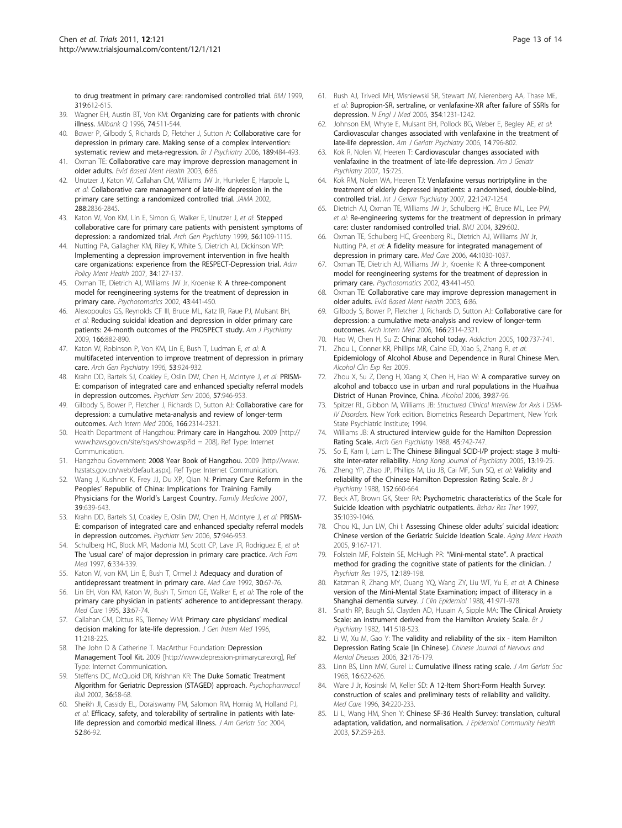<span id="page-12-0"></span>to drug treatment in primary care: randomised controlled trial, BMJ 1999. 319:612-615.

- 39. Wagner EH, Austin BT, Von KM: [Organizing care for patients with chronic](http://www.ncbi.nlm.nih.gov/pubmed/8941260?dopt=Abstract) [illness.](http://www.ncbi.nlm.nih.gov/pubmed/8941260?dopt=Abstract) Milbank Q 1996, 74:511-544.
- 40. Bower P, Gilbody S, Richards D, Fletcher J, Sutton A: [Collaborative care for](http://www.ncbi.nlm.nih.gov/pubmed/17139031?dopt=Abstract) [depression in primary care. Making sense of a complex intervention:](http://www.ncbi.nlm.nih.gov/pubmed/17139031?dopt=Abstract) [systematic review and meta-regression.](http://www.ncbi.nlm.nih.gov/pubmed/17139031?dopt=Abstract) Br J Psychiatry 2006, 189:484-493.
- 41. Oxman TE: [Collaborative care may improve depression management in](http://www.ncbi.nlm.nih.gov/pubmed/12893797?dopt=Abstract) [older adults.](http://www.ncbi.nlm.nih.gov/pubmed/12893797?dopt=Abstract) Evid Based Ment Health 2003, 6:86.
- 42. Unutzer J, Katon W, Callahan CM, Williams JW Jr, Hunkeler E, Harpole L, et al: [Collaborative care management of late-life depression in the](http://www.ncbi.nlm.nih.gov/pubmed/12472325?dopt=Abstract) [primary care setting: a randomized controlled trial.](http://www.ncbi.nlm.nih.gov/pubmed/12472325?dopt=Abstract) JAMA 2002, 288:2836-2845.
- 43. Katon W, Von KM, Lin E, Simon G, Walker E, Unutzer J, et al: [Stepped](http://www.ncbi.nlm.nih.gov/pubmed/10591288?dopt=Abstract) [collaborative care for primary care patients with persistent symptoms of](http://www.ncbi.nlm.nih.gov/pubmed/10591288?dopt=Abstract) [depression: a randomized trial.](http://www.ncbi.nlm.nih.gov/pubmed/10591288?dopt=Abstract) Arch Gen Psychiatry 1999, 56:1109-1115.
- 44. Nutting PA, Gallagher KM, Riley K, White S, Dietrich AJ, Dickinson WP: [Implementing a depression improvement intervention in five health](http://www.ncbi.nlm.nih.gov/pubmed/16967338?dopt=Abstract) [care organizations: experience from the RESPECT-Depression trial.](http://www.ncbi.nlm.nih.gov/pubmed/16967338?dopt=Abstract) Adm Policy Ment Health 2007, 34:127-137.
- 45. Oxman TE, Dietrich AJ, Williams JW Jr, Kroenke K: [A three-component](http://www.ncbi.nlm.nih.gov/pubmed/12444226?dopt=Abstract) [model for reengineering systems for the treatment of depression in](http://www.ncbi.nlm.nih.gov/pubmed/12444226?dopt=Abstract) [primary care.](http://www.ncbi.nlm.nih.gov/pubmed/12444226?dopt=Abstract) Psychosomatics 2002, 43:441-450.
- 46. Alexopoulos GS, Reynolds CF III, Bruce ML, Katz IR, Raue PJ, Mulsant BH, et al: [Reducing suicidal ideation and depression in older primary care](http://www.ncbi.nlm.nih.gov/pubmed/19528195?dopt=Abstract) [patients: 24-month outcomes of the PROSPECT study.](http://www.ncbi.nlm.nih.gov/pubmed/19528195?dopt=Abstract) Am J Psychiatry 2009, 166:882-890.
- 47. Katon W, Robinson P, Von KM, Lin E, Bush T, Ludman E, et al: [A](http://www.ncbi.nlm.nih.gov/pubmed/8857869?dopt=Abstract) [multifaceted intervention to improve treatment of depression in primary](http://www.ncbi.nlm.nih.gov/pubmed/8857869?dopt=Abstract) [care.](http://www.ncbi.nlm.nih.gov/pubmed/8857869?dopt=Abstract) Arch Gen Psychiatry 1996, 53:924-932.
- 48. Krahn DD, Bartels SJ, Coakley E, Oslin DW, Chen H, McIntyre J, et al: [PRISM-](http://www.ncbi.nlm.nih.gov/pubmed/16816278?dopt=Abstract)[E: comparison of integrated care and enhanced specialty referral models](http://www.ncbi.nlm.nih.gov/pubmed/16816278?dopt=Abstract) [in depression outcomes.](http://www.ncbi.nlm.nih.gov/pubmed/16816278?dopt=Abstract) Psychiatr Serv 2006, 57:946-953.
- 49. Gilbody S, Bower P, Fletcher J, Richards D, Sutton AJ: [Collaborative care for](http://www.ncbi.nlm.nih.gov/pubmed/17130383?dopt=Abstract) [depression: a cumulative meta-analysis and review of longer-term](http://www.ncbi.nlm.nih.gov/pubmed/17130383?dopt=Abstract) [outcomes.](http://www.ncbi.nlm.nih.gov/pubmed/17130383?dopt=Abstract) Arch Intern Med 2006, 166:2314-2321.
- 50. Health Department of Hangzhou: Primary care in Hangzhou. 2009 [[http://](http://www.hzws.gov.cn/site/sqws/show.asp?id = 208) [www.hzws.gov.cn/site/sqws/show.asp?id = 208\]](http://www.hzws.gov.cn/site/sqws/show.asp?id = 208), Ref Type: Internet Communication.
- 51. Hangzhou Government: 2008 Year Book of Hangzhou. 2009 [\[http://www.](http://www.hzstats.gov.cn/web/default.aspx) [hzstats.gov.cn/web/default.aspx\]](http://www.hzstats.gov.cn/web/default.aspx), Ref Type: Internet Communication.
- 52. Wang J, Kushner K, Frey JJ, Du XP, Qian N: [Primary Care Reform in the](http://www.ncbi.nlm.nih.gov/pubmed/17932797?dopt=Abstract) Peoples' [Republic of China: Implications for Training Family](http://www.ncbi.nlm.nih.gov/pubmed/17932797?dopt=Abstract) [Physicians for the World](http://www.ncbi.nlm.nih.gov/pubmed/17932797?dopt=Abstract)'s Largest Country. Family Medicine 2007, 39:639-643.
- 53. Krahn DD, Bartels SJ, Coakley E, Oslin DW, Chen H, McIntyre J, et al: [PRISM-](http://www.ncbi.nlm.nih.gov/pubmed/16816278?dopt=Abstract)[E: comparison of integrated care and enhanced specialty referral models](http://www.ncbi.nlm.nih.gov/pubmed/16816278?dopt=Abstract) [in depression outcomes.](http://www.ncbi.nlm.nih.gov/pubmed/16816278?dopt=Abstract) Psychiatr Serv 2006, 57:946-953.
- 54. Schulberg HC, Block MR, Madonia MJ, Scott CP, Lave JR, Rodriguez E, et al: The 'usual care' [of major depression in primary care practice.](http://www.ncbi.nlm.nih.gov/pubmed/9225703?dopt=Abstract) Arch Fam Med 1997, 6:334-339.
- 55. Katon W, von KM, Lin E, Bush T, Ormel J: [Adequacy and duration of](http://www.ncbi.nlm.nih.gov/pubmed/1729588?dopt=Abstract) [antidepressant treatment in primary care.](http://www.ncbi.nlm.nih.gov/pubmed/1729588?dopt=Abstract) Med Care 1992, 30:67-76.
- 56. Lin EH, Von KM, Katon W, Bush T, Simon GE, Walker E, et al: [The role of the](http://www.ncbi.nlm.nih.gov/pubmed/7823648?dopt=Abstract) primary care physician in patients' [adherence to antidepressant therapy.](http://www.ncbi.nlm.nih.gov/pubmed/7823648?dopt=Abstract) Med Care 1995, 33:67-74.
- 57. Callahan CM, Dittus RS, Tierney WM: [Primary care physicians](http://www.ncbi.nlm.nih.gov/pubmed/8744879?dopt=Abstract)' medical [decision making for late-life depression.](http://www.ncbi.nlm.nih.gov/pubmed/8744879?dopt=Abstract) J Gen Intern Med 1996, 11:218-225.
- 58. The John D & Catherine T. MacArthur Foundation: Depression Management Tool Kit. 2009 [\[http://www.depression-primarycare.org](http://www.depression-primarycare.org)], Ref Type: Internet Communication.
- 59. Steffens DC, McQuoid DR, Krishnan KR: [The Duke Somatic Treatment](http://www.ncbi.nlm.nih.gov/pubmed/12397841?dopt=Abstract) [Algorithm for Geriatric Depression \(STAGED\) approach.](http://www.ncbi.nlm.nih.gov/pubmed/12397841?dopt=Abstract) Psychopharmacol Bull 2002, 36:58-68.
- 60. Sheikh JI, Cassidy EL, Doraiswamy PM, Salomon RM, Hornig M, Holland PJ, et al: [Efficacy, safety, and tolerability of sertraline in patients with late](http://www.ncbi.nlm.nih.gov/pubmed/14687320?dopt=Abstract)[life depression and comorbid medical illness.](http://www.ncbi.nlm.nih.gov/pubmed/14687320?dopt=Abstract) J Am Geriatr Soc 2004, 52:86-92.
- 61. Rush AJ, Trivedi MH, Wisniewski SR, Stewart JW, Nierenberg AA, Thase ME, et al: [Bupropion-SR, sertraline, or venlafaxine-XR after failure of SSRIs for](http://www.ncbi.nlm.nih.gov/pubmed/16554525?dopt=Abstract) [depression.](http://www.ncbi.nlm.nih.gov/pubmed/16554525?dopt=Abstract) N Engl J Med 2006, 354:1231-1242.
- 62. Johnson EM, Whyte E, Mulsant BH, Pollock BG, Weber E, Begley AE, et al: [Cardiovascular changes associated with venlafaxine in the treatment of](http://www.ncbi.nlm.nih.gov/pubmed/16943176?dopt=Abstract) [late-life depression.](http://www.ncbi.nlm.nih.gov/pubmed/16943176?dopt=Abstract) Am J Geriatr Psychiatry 2006, 14:796-802.
- 63. Kok R, Nolen W, Heeren T: [Cardiovascular changes associated with](http://www.ncbi.nlm.nih.gov/pubmed/17670999?dopt=Abstract) [venlafaxine in the treatment of late-life depression.](http://www.ncbi.nlm.nih.gov/pubmed/17670999?dopt=Abstract) Am J Geriatr Psychiatry 2007, 15:725.
- 64. Kok RM, Nolen WA, Heeren TJ: [Venlafaxine versus nortriptyline in the](http://www.ncbi.nlm.nih.gov/pubmed/17562523?dopt=Abstract) [treatment of elderly depressed inpatients: a randomised, double-blind,](http://www.ncbi.nlm.nih.gov/pubmed/17562523?dopt=Abstract) [controlled trial.](http://www.ncbi.nlm.nih.gov/pubmed/17562523?dopt=Abstract) Int J Geriatr Psychiatry 2007, 22:1247-1254.
- Dietrich AJ, Oxman TE, Williams JW Jr, Schulberg HC, Bruce ML, Lee PW, et al: [Re-engineering systems for the treatment of depression in primary](http://www.ncbi.nlm.nih.gov/pubmed/15345600?dopt=Abstract) [care: cluster randomised controlled trial.](http://www.ncbi.nlm.nih.gov/pubmed/15345600?dopt=Abstract) BMJ 2004, 329:602.
- 66. Oxman TE, Schulberg HC, Greenberg RL, Dietrich AJ, Williams JW Jr, Nutting PA, et al: [A fidelity measure for integrated management of](http://www.ncbi.nlm.nih.gov/pubmed/17063135?dopt=Abstract) [depression in primary care.](http://www.ncbi.nlm.nih.gov/pubmed/17063135?dopt=Abstract) Med Care 2006, 44:1030-1037.
- 67. Oxman TE, Dietrich AJ, Williams JW Jr, Kroenke K: [A three-component](http://www.ncbi.nlm.nih.gov/pubmed/12444226?dopt=Abstract) [model for reengineering systems for the treatment of depression in](http://www.ncbi.nlm.nih.gov/pubmed/12444226?dopt=Abstract) [primary care.](http://www.ncbi.nlm.nih.gov/pubmed/12444226?dopt=Abstract) Psychosomatics 2002, 43:441-450.
- 68. Oxman TE: [Collaborative care may improve depression management in](http://www.ncbi.nlm.nih.gov/pubmed/12893797?dopt=Abstract) [older adults.](http://www.ncbi.nlm.nih.gov/pubmed/12893797?dopt=Abstract) Evid Based Ment Health 2003, 6:86.
- 69. Gilbody S, Bower P, Fletcher J, Richards D, Sutton AJ: [Collaborative care for](http://www.ncbi.nlm.nih.gov/pubmed/17130383?dopt=Abstract) [depression: a cumulative meta-analysis and review of longer-term](http://www.ncbi.nlm.nih.gov/pubmed/17130383?dopt=Abstract) [outcomes.](http://www.ncbi.nlm.nih.gov/pubmed/17130383?dopt=Abstract) Arch Intern Med 2006, 166:2314-2321.
- 70. Hao W, Chen H, Su Z: [China: alcohol today.](http://www.ncbi.nlm.nih.gov/pubmed/15918802?dopt=Abstract) Addiction 2005, 100:737-741. 71. Zhou L, Conner KR, Phillips MR, Caine ED, Xiao S, Zhang R, et al:
- Epidemiology of Alcohol Abuse and Dependence in Rural Chinese Men. Alcohol Clin Exp Res 2009.
- 72. Zhou X, Su Z, Deng H, Xiang X, Chen H, Hao W: [A comparative survey on](http://www.ncbi.nlm.nih.gov/pubmed/17134661?dopt=Abstract) [alcohol and tobacco use in urban and rural populations in the Huaihua](http://www.ncbi.nlm.nih.gov/pubmed/17134661?dopt=Abstract) [District of Hunan Province, China.](http://www.ncbi.nlm.nih.gov/pubmed/17134661?dopt=Abstract) Alcohol 2006, 39:87-96.
- 73. Spitzer RL, Gibbon M, Williams JB: Structured Clinical Interview for Axis I DSM-IV Disorders. New York edition. Biometrics Research Department, New York State Psychiatric Institute; 1994.
- 74. Williams JB: [A structured interview guide for the Hamilton Depression](http://www.ncbi.nlm.nih.gov/pubmed/3395203?dopt=Abstract) [Rating Scale.](http://www.ncbi.nlm.nih.gov/pubmed/3395203?dopt=Abstract) Arch Gen Psychiatry 1988, 45:742-747.
- 75. So E, Kam I, Lam L: The Chinese Bilingual SCID-I/P project: stage 3 multisite inter-rater reliability. Hong Kong Journal of Psychiatry 2005, 13:19-25.
- 76. Zheng YP, Zhao JP, Phillips M, Liu JB, Cai MF, Sun SQ, et al: [Validity and](http://www.ncbi.nlm.nih.gov/pubmed/3167442?dopt=Abstract) [reliability of the Chinese Hamilton Depression Rating Scale.](http://www.ncbi.nlm.nih.gov/pubmed/3167442?dopt=Abstract) Br J Psychiatry 1988, 152:660-664.
- 77. Beck AT, Brown GK, Steer RA: [Psychometric characteristics of the Scale for](http://www.ncbi.nlm.nih.gov/pubmed/9431735?dopt=Abstract) [Suicide Ideation with psychiatric outpatients.](http://www.ncbi.nlm.nih.gov/pubmed/9431735?dopt=Abstract) Behav Res Ther 1997, 35:1039-1046.
- 78. Chou KL, Jun LW, Chi I: [Assessing Chinese older adults](http://www.ncbi.nlm.nih.gov/pubmed/15804635?dopt=Abstract)' suicidal ideation: [Chinese version of the Geriatric Suicide Ideation Scale.](http://www.ncbi.nlm.nih.gov/pubmed/15804635?dopt=Abstract) Aging Ment Health 2005, 9:167-171.
- 79. Folstein MF, Folstein SE, McHugh PR: "[Mini-mental state](http://www.ncbi.nlm.nih.gov/pubmed/1202204?dopt=Abstract)". A practical [method for grading the cognitive state of patients for the clinician.](http://www.ncbi.nlm.nih.gov/pubmed/1202204?dopt=Abstract)  $J$ Psychiatr Res 1975, 12:189-198.
- Katzman R, Zhang MY, Ouang YQ, Wang ZY, Liu WT, Yu E, et al: [A Chinese](http://www.ncbi.nlm.nih.gov/pubmed/3193141?dopt=Abstract) [version of the Mini-Mental State Examination; impact of illiteracy in a](http://www.ncbi.nlm.nih.gov/pubmed/3193141?dopt=Abstract) [Shanghai dementia survey.](http://www.ncbi.nlm.nih.gov/pubmed/3193141?dopt=Abstract) J Clin Epidemiol 1988, 41:971-978.
- 81. Snaith RP, Baugh SJ, Clayden AD, Husain A, Sipple MA: [The Clinical Anxiety](http://www.ncbi.nlm.nih.gov/pubmed/7150890?dopt=Abstract) [Scale: an instrument derived from the Hamilton Anxiety Scale.](http://www.ncbi.nlm.nih.gov/pubmed/7150890?dopt=Abstract) Br J Psychiatry 1982, 141:518-523.
- 82. Li W, Xu M, Gao Y: The validity and reliability of the six item Hamilton Depression Rating Scale [In Chinese]. Chinese Journal of Nervous and Mental Diseases 2006, 32:176-179.
- 83. Linn BS, Linn MW, Gurel L: [Cumulative illness rating scale.](http://www.ncbi.nlm.nih.gov/pubmed/5646906?dopt=Abstract) J Am Geriatr Soc 1968, 16:622-626.
- 84. Ware J Jr, Kosinski M, Keller SD: [A 12-Item Short-Form Health Survey:](http://www.ncbi.nlm.nih.gov/pubmed/8628042?dopt=Abstract) [construction of scales and preliminary tests of reliability and validity.](http://www.ncbi.nlm.nih.gov/pubmed/8628042?dopt=Abstract) Med Care 1996, 34:220-233.
- 85. Li L, Wang HM, Shen Y: [Chinese SF-36 Health Survey: translation, cultural](http://www.ncbi.nlm.nih.gov/pubmed/12646540?dopt=Abstract) [adaptation, validation, and normalisation.](http://www.ncbi.nlm.nih.gov/pubmed/12646540?dopt=Abstract) J Epidemiol Community Health 2003, 57:259-263.